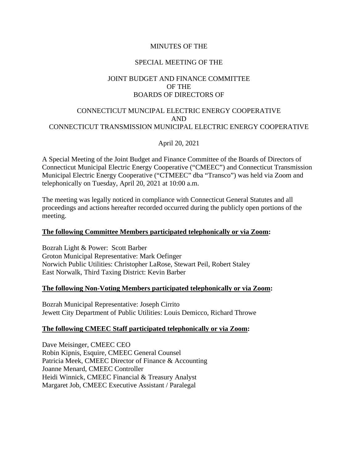## MINUTES OF THE

## SPECIAL MEETING OF THE

# JOINT BUDGET AND FINANCE COMMITTEE OF THE BOARDS OF DIRECTORS OF

# CONNECTICUT MUNCIPAL ELECTRIC ENERGY COOPERATIVE AND CONNECTICUT TRANSMISSION MUNICIPAL ELECTRIC ENERGY COOPERATIVE

April 20, 2021

A Special Meeting of the Joint Budget and Finance Committee of the Boards of Directors of Connecticut Municipal Electric Energy Cooperative ("CMEEC") and Connecticut Transmission Municipal Electric Energy Cooperative ("CTMEEC" dba "Transco") was held via Zoom and telephonically on Tuesday, April 20, 2021 at 10:00 a.m.

The meeting was legally noticed in compliance with Connecticut General Statutes and all proceedings and actions hereafter recorded occurred during the publicly open portions of the meeting.

### **The following Committee Members participated telephonically or via Zoom:**

Bozrah Light & Power: Scott Barber Groton Municipal Representative: Mark Oefinger Norwich Public Utilities: Christopher LaRose, Stewart Peil, Robert Staley East Norwalk, Third Taxing District: Kevin Barber

### **The following Non-Voting Members participated telephonically or via Zoom:**

Bozrah Municipal Representative: Joseph Cirrito Jewett City Department of Public Utilities: Louis Demicco, Richard Throwe

#### **The following CMEEC Staff participated telephonically or via Zoom:**

Dave Meisinger, CMEEC CEO Robin Kipnis, Esquire, CMEEC General Counsel Patricia Meek, CMEEC Director of Finance & Accounting Joanne Menard, CMEEC Controller Heidi Winnick, CMEEC Financial & Treasury Analyst Margaret Job, CMEEC Executive Assistant / Paralegal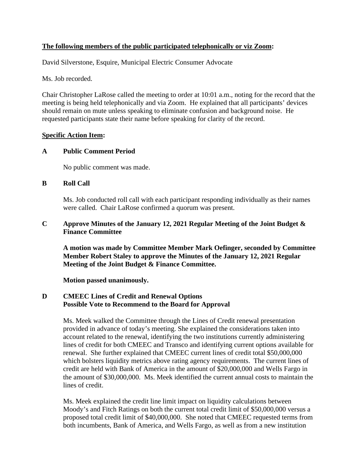# **The following members of the public participated telephonically or viz Zoom:**

David Silverstone, Esquire, Municipal Electric Consumer Advocate

Ms. Job recorded.

Chair Christopher LaRose called the meeting to order at 10:01 a.m., noting for the record that the meeting is being held telephonically and via Zoom. He explained that all participants' devices should remain on mute unless speaking to eliminate confusion and background noise. He requested participants state their name before speaking for clarity of the record.

# **Specific Action Item:**

# **A Public Comment Period**

No public comment was made.

# **B Roll Call**

Ms. Job conducted roll call with each participant responding individually as their names were called. Chair LaRose confirmed a quorum was present.

# **C Approve Minutes of the January 12, 2021 Regular Meeting of the Joint Budget & Finance Committee**

**A motion was made by Committee Member Mark Oefinger, seconded by Committee Member Robert Staley to approve the Minutes of the January 12, 2021 Regular Meeting of the Joint Budget & Finance Committee.**

**Motion passed unanimously.**

# **D CMEEC Lines of Credit and Renewal Options Possible Vote to Recommend to the Board for Approval**

Ms. Meek walked the Committee through the Lines of Credit renewal presentation provided in advance of today's meeting. She explained the considerations taken into account related to the renewal, identifying the two institutions currently administering lines of credit for both CMEEC and Transco and identifying current options available for renewal. She further explained that CMEEC current lines of credit total \$50,000,000 which bolsters liquidity metrics above rating agency requirements. The current lines of credit are held with Bank of America in the amount of \$20,000,000 and Wells Fargo in the amount of \$30,000,000. Ms. Meek identified the current annual costs to maintain the lines of credit.

Ms. Meek explained the credit line limit impact on liquidity calculations between Moody's and Fitch Ratings on both the current total credit limit of \$50,000,000 versus a proposed total credit limit of \$40,000,000. She noted that CMEEC requested terms from both incumbents, Bank of America, and Wells Fargo, as well as from a new institution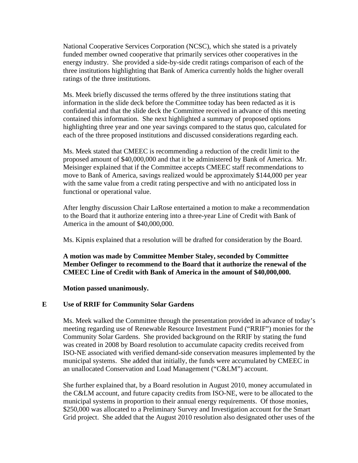National Cooperative Services Corporation (NCSC), which she stated is a privately funded member owned cooperative that primarily services other cooperatives in the energy industry. She provided a side-by-side credit ratings comparison of each of the three institutions highlighting that Bank of America currently holds the higher overall ratings of the three institutions.

Ms. Meek briefly discussed the terms offered by the three institutions stating that information in the slide deck before the Committee today has been redacted as it is confidential and that the slide deck the Committee received in advance of this meeting contained this information. She next highlighted a summary of proposed options highlighting three year and one year savings compared to the status quo, calculated for each of the three proposed institutions and discussed considerations regarding each.

Ms. Meek stated that CMEEC is recommending a reduction of the credit limit to the proposed amount of \$40,000,000 and that it be administered by Bank of America. Mr. Meisinger explained that if the Committee accepts CMEEC staff recommendations to move to Bank of America, savings realized would be approximately \$144,000 per year with the same value from a credit rating perspective and with no anticipated loss in functional or operational value.

After lengthy discussion Chair LaRose entertained a motion to make a recommendation to the Board that it authorize entering into a three-year Line of Credit with Bank of America in the amount of \$40,000,000.

Ms. Kipnis explained that a resolution will be drafted for consideration by the Board.

**A motion was made by Committee Member Staley, seconded by Committee Member Oefinger to recommend to the Board that it authorize the renewal of the CMEEC Line of Credit with Bank of America in the amount of \$40,000,000.**

**Motion passed unanimously.**

# **E Use of RRIF for Community Solar Gardens**

Ms. Meek walked the Committee through the presentation provided in advance of today's meeting regarding use of Renewable Resource Investment Fund ("RRIF") monies for the Community Solar Gardens. She provided background on the RRIF by stating the fund was created in 2008 by Board resolution to accumulate capacity credits received from ISO-NE associated with verified demand-side conservation measures implemented by the municipal systems. She added that initially, the funds were accumulated by CMEEC in an unallocated Conservation and Load Management ("C&LM") account.

She further explained that, by a Board resolution in August 2010, money accumulated in the C&LM account, and future capacity credits from ISO-NE, were to be allocated to the municipal systems in proportion to their annual energy requirements. Of those monies, \$250,000 was allocated to a Preliminary Survey and Investigation account for the Smart Grid project. She added that the August 2010 resolution also designated other uses of the